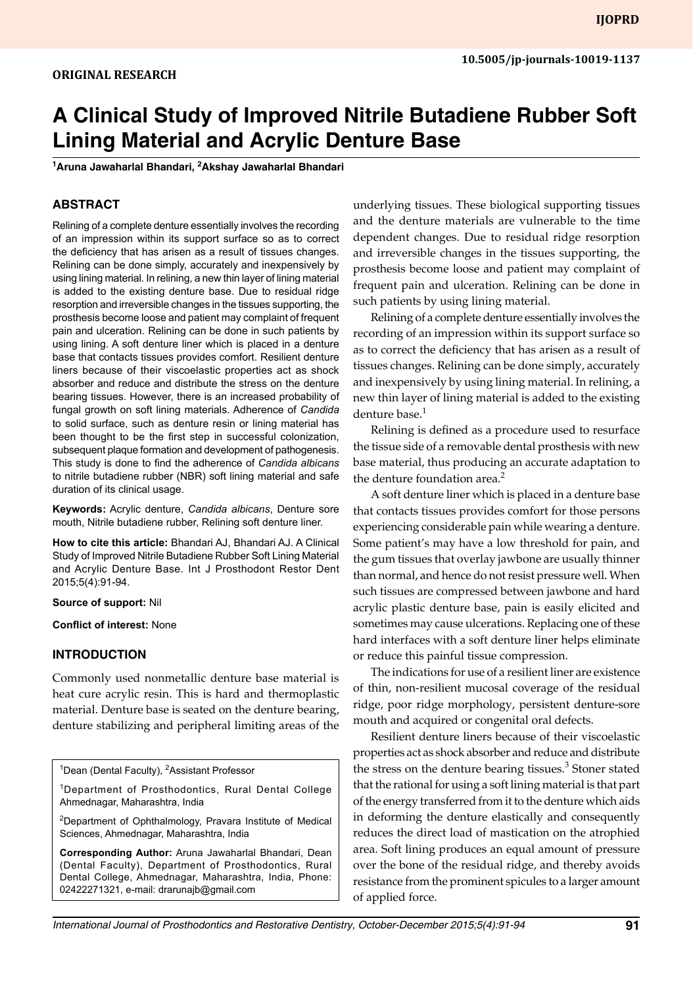# **A Clinical Study of Improved Nitrile Butadiene Rubber Soft Lining Material and Acrylic Denture Base**

**1 Aruna Jawaharlal Bhandari, 2 Akshay Jawaharlal Bhandari**

## **Abstract**

Relining of a complete denture essentially involves the recording of an impression within its support surface so as to correct the deficiency that has arisen as a result of tissues changes. Relining can be done simply, accurately and inexpensively by using lining material. In relining, a new thin layer of lining material is added to the existing denture base. Due to residual ridge resorption and irreversible changes in the tissues supporting, the prosthesis become loose and patient may complaint of frequent pain and ulceration. Relining can be done in such patients by using lining. A soft denture liner which is placed in a denture base that contacts tissues provides comfort. Resilient denture liners because of their viscoelastic properties act as shock absorber and reduce and distribute the stress on the denture bearing tissues. However, there is an increased probability of fungal growth on soft lining materials. Adherence of *Candida*  to solid surface, such as denture resin or lining material has been thought to be the first step in successful colonization, subsequent plaque formation and development of pathogenesis. This study is done to find the adherence of *Candida albicans* to nitrile butadiene rubber (NBR) soft lining material and safe duration of its clinical usage.

**Keywords:** Acrylic denture, *Candida albicans*, Denture sore mouth, Nitrile butadiene rubber, Relining soft denture liner.

**How to cite this article:** Bhandari AJ, Bhandari AJ. A Clinical Study of Improved Nitrile Butadiene Rubber Soft Lining Material and Acrylic Denture Base. Int J Prosthodont Restor Dent 2015;5(4):91-94.

#### **Source of support:** Nil

**Conflict of interest:** None

#### **INTRODUCTION**

Commonly used nonmetallic denture base material is heat cure acrylic resin. This is hard and thermoplastic material. Denture base is seated on the denture bearing, denture stabilizing and peripheral limiting areas of the

<sup>1</sup>Dean (Dental Faculty), <sup>2</sup>Assistant Professor

<sup>1</sup>Department of Prosthodontics, Rural Dental College Ahmednagar, Maharashtra, India

<sup>2</sup>Department of Ophthalmology, Pravara Institute of Medical Sciences, Ahmednagar, Maharashtra, India

**Corresponding Author:** Aruna Jawaharlal Bhandari, Dean (Dental Faculty), Department of Prosthodontics, Rural Dental College, Ahmednagar, Maharashtra, India, Phone: 02422271321, e-mail: drarunajb@gmail.com

underlying tissues. These biological supporting tissues and the denture materials are vulnerable to the time dependent changes. Due to residual ridge resorption and irreversible changes in the tissues supporting, the prosthesis become loose and patient may complaint of frequent pain and ulceration. Relining can be done in such patients by using lining material.

Relining of a complete denture essentially involves the recording of an impression within its support surface so as to correct the deficiency that has arisen as a result of tissues changes. Relining can be done simply, accurately and inexpensively by using lining material. In relining, a new thin layer of lining material is added to the existing denture base.<sup>1</sup>

Relining is defined as a procedure used to resurface the tissue side of a removable dental prosthesis with new base material, thus producing an accurate adaptation to the denture foundation area. $<sup>2</sup>$ </sup>

A soft denture liner which is placed in a denture base that contacts tissues provides comfort for those persons experiencing considerable pain while wearing a denture. Some patient's may have a low threshold for pain, and the gum tissues that overlay jawbone are usually thinner than normal, and hence do not resist pressure well. When such tissues are compressed between jawbone and hard acrylic plastic denture base, pain is easily elicited and sometimes may cause ulcerations. Replacing one of these hard interfaces with a soft denture liner helps eliminate or reduce this painful tissue compression.

The indications for use of a resilient liner are existence of thin, non-resilient mucosal coverage of the residual ridge, poor ridge morphology, persistent denture-sore mouth and acquired or congenital oral defects.

Resilient denture liners because of their viscoelastic properties act as shock absorber and reduce and distribute the stress on the denture bearing tissues.<sup>3</sup> Stoner stated that the rational for using a soft lining material is that part of the energy transferred from it to the denture which aids in deforming the denture elastically and consequently reduces the direct load of mastication on the atrophied area. Soft lining produces an equal amount of pressure over the bone of the residual ridge, and thereby avoids resistance from the prominent spicules to a larger amount of applied force.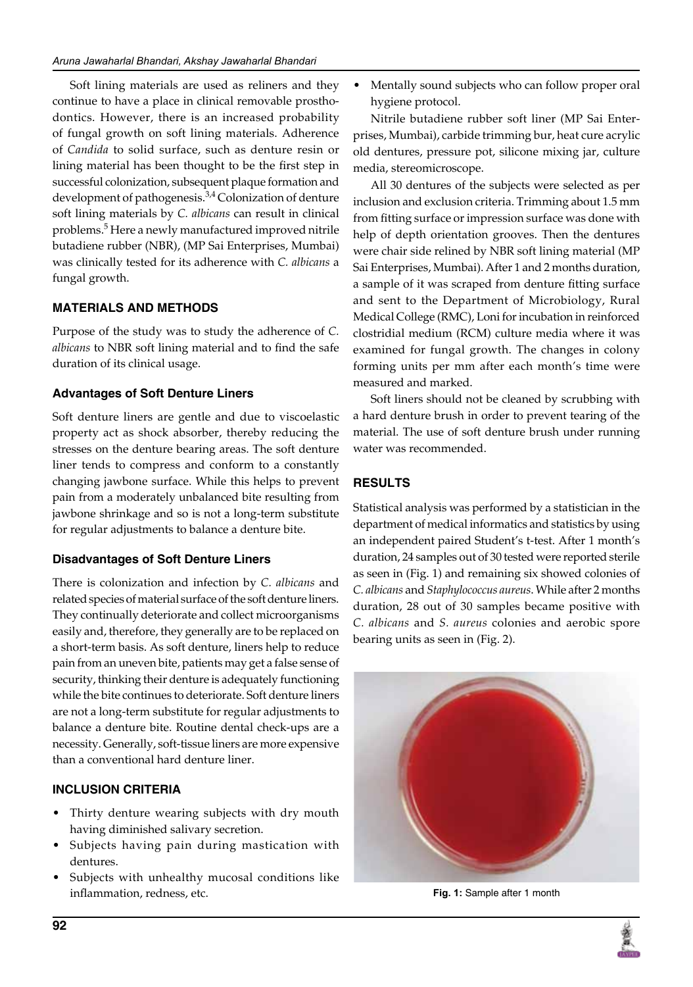Soft lining materials are used as reliners and they continue to have a place in clinical removable prosthodontics. However, there is an increased probability of fungal growth on soft lining materials. Adherence of *Candida* to solid surface, such as denture resin or lining material has been thought to be the first step in successful colonization, subsequent plaque formation and development of pathogenesis.<sup>3,4</sup> Colonization of denture soft lining materials by *C. albicans* can result in clinical problems.<sup>5</sup> Here a newly manufactured improved nitrile butadiene rubber (NBR), (MP Sai Enterprises, Mumbai) was clinically tested for its adherence with *C. albicans* a fungal growth.

## **MATERIALs AND METHODS**

Purpose of the study was to study the adherence of *C. albicans* to NBR soft lining material and to find the safe duration of its clinical usage.

## **Advantages of Soft Denture Liners**

Soft denture liners are gentle and due to viscoelastic property act as shock absorber, thereby reducing the stresses on the denture bearing areas. The soft denture liner tends to compress and conform to a constantly changing jawbone surface. While this helps to prevent pain from a moderately unbalanced bite resulting from jawbone shrinkage and so is not a long-term substitute for regular adjustments to balance a denture bite.

# **Disadvantages of Soft Denture Liners**

There is colonization and infection by *C. albicans* and related species of material surface of the soft denture liners. They continually deteriorate and collect microorganisms easily and, therefore, they generally are to be replaced on a short-term basis. As soft denture, liners help to reduce pain from an uneven bite, patients may get a false sense of security, thinking their denture is adequately functioning while the bite continues to deteriorate. Soft denture liners are not a long-term substitute for regular adjustments to balance a denture bite. Routine dental check-ups are a necessity. Generally, soft-tissue liners are more expensive than a conventional hard denture liner.

# **Inclusion Criteria**

- Thirty denture wearing subjects with dry mouth having diminished salivary secretion.
- Subjects having pain during mastication with dentures.
- Subjects with unhealthy mucosal conditions like inflammation, redness, etc.

• Mentally sound subjects who can follow proper oral hygiene protocol.

Nitrile butadiene rubber soft liner (MP Sai Enterprises, Mumbai), carbide trimming bur, heat cure acrylic old dentures, pressure pot, silicone mixing jar, culture media, stereomicroscope.

All 30 dentures of the subjects were selected as per inclusion and exclusion criteria. Trimming about 1.5 mm from fitting surface or impression surface was done with help of depth orientation grooves. Then the dentures were chair side relined by NBR soft lining material (MP Sai Enterprises, Mumbai). After 1 and 2 months duration, a sample of it was scraped from denture fitting surface and sent to the Department of Microbiology, Rural Medical College (RMC), Loni for incubation in reinforced clostridial medium (RCM) culture media where it was examined for fungal growth. The changes in colony forming units per mm after each month's time were measured and marked.

Soft liners should not be cleaned by scrubbing with a hard denture brush in order to prevent tearing of the material. The use of soft denture brush under running water was recommended.

# **RESULTS**

Statistical analysis was performed by a statistician in the department of medical informatics and statistics by using an independent paired Student's t-test. After 1 month's duration, 24 samples out of 30 tested were reported sterile as seen in (Fig. 1) and remaining six showed colonies of *C. albicans* and *Staphylococcus aureus*. While after 2 months duration, 28 out of 30 samples became positive with *C. albicans* and *S. aureus* colonies and aerobic spore bearing units as seen in (Fig. 2).



**Fig. 1:** Sample after 1 month

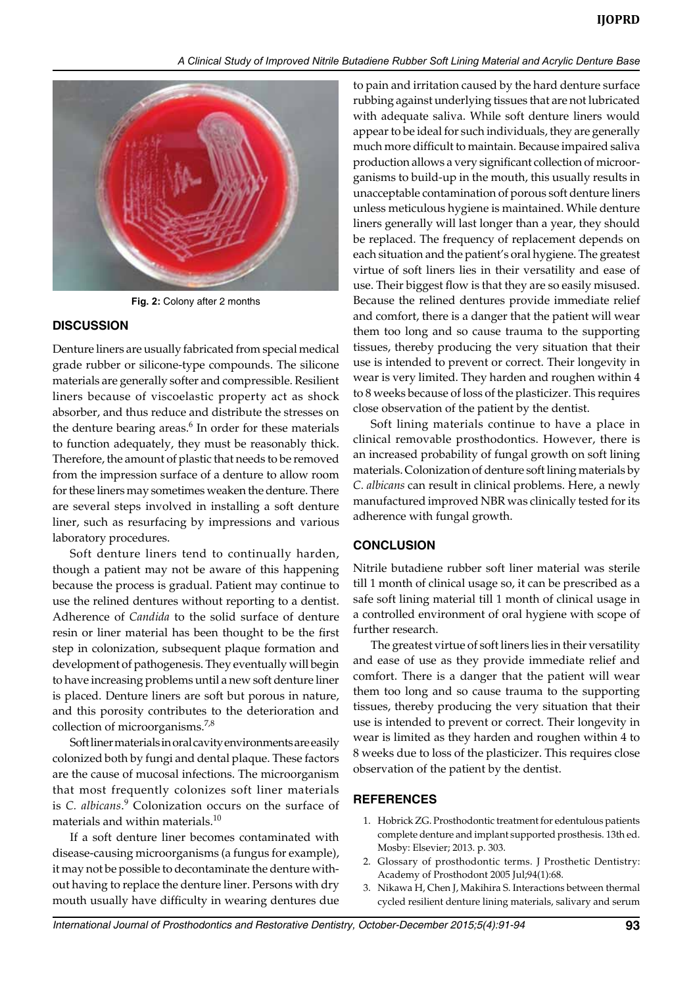

**Fig. 2:** Colony after 2 months

### **DISCUSSION**

Denture liners are usually fabricated from special medical grade rubber or silicone-type compounds. The silicone materials are generally softer and compressible. Resilient liners because of viscoelastic property act as shock absorber, and thus reduce and distribute the stresses on the denture bearing areas. $6$  In order for these materials to function adequately, they must be reasonably thick. Therefore, the amount of plastic that needs to be removed from the impression surface of a denture to allow room for these liners may sometimes weaken the denture. There are several steps involved in installing a soft denture liner, such as resurfacing by impressions and various laboratory procedures.

Soft denture liners tend to continually harden, though a patient may not be aware of this happening because the process is gradual. Patient may continue to use the relined dentures without reporting to a dentist. Adherence of *Candida* to the solid surface of denture resin or liner material has been thought to be the first step in colonization, subsequent plaque formation and development of pathogenesis. They eventually will begin to have increasing problems until a new soft denture liner is placed. Denture liners are soft but porous in nature, and this porosity contributes to the deterioration and collection of microorganisms.<sup>7,8</sup>

Soft liner materials in oral cavity environments are easily colonized both by fungi and dental plaque. These factors are the cause of mucosal infections. The microorganism that most frequently colonizes soft liner materials is *C. albicans.*<sup>9</sup> Colonization occurs on the surface of materials and within materials.10

If a soft denture liner becomes contaminated with disease-causing microorganisms (a fungus for example), it may not be possible to decontaminate the denture without having to replace the denture liner. Persons with dry mouth usually have difficulty in wearing dentures due to pain and irritation caused by the hard denture surface rubbing against underlying tissues that are not lubricated with adequate saliva. While soft denture liners would appear to be ideal for such individuals, they are generally much more difficult to maintain. Because impaired saliva production allows a very significant collection of microorganisms to build-up in the mouth, this usually results in unacceptable contamination of porous soft denture liners unless meticulous hygiene is maintained. While denture liners generally will last longer than a year, they should be replaced. The frequency of replacement depends on each situation and the patient's oral hygiene. The greatest virtue of soft liners lies in their versatility and ease of use. Their biggest flow is that they are so easily misused. Because the relined dentures provide immediate relief and comfort, there is a danger that the patient will wear them too long and so cause trauma to the supporting tissues, thereby producing the very situation that their use is intended to prevent or correct. Their longevity in wear is very limited. They harden and roughen within 4 to 8 weeks because of loss of the plasticizer. This requires close observation of the patient by the dentist.

Soft lining materials continue to have a place in clinical removable prosthodontics. However, there is an increased probability of fungal growth on soft lining materials. Colonization of denture soft lining materials by *C. albicans* can result in clinical problems. Here, a newly manufactured improved NBR was clinically tested for its adherence with fungal growth.

## **CONCLUSION**

Nitrile butadiene rubber soft liner material was sterile till 1 month of clinical usage so, it can be prescribed as a safe soft lining material till 1 month of clinical usage in a controlled environment of oral hygiene with scope of further research.

The greatest virtue of soft liners lies in their versatility and ease of use as they provide immediate relief and comfort. There is a danger that the patient will wear them too long and so cause trauma to the supporting tissues, thereby producing the very situation that their use is intended to prevent or correct. Their longevity in wear is limited as they harden and roughen within 4 to 8 weeks due to loss of the plasticizer. This requires close observation of the patient by the dentist.

### **REFERENCES**

- 1. Hobrick ZG. Prosthodontic treatment for edentulous patients complete denture and implant supported prosthesis. 13th ed. Mosby: Elsevier; 2013. p. 303.
- 2. Glossary of prosthodontic terms. J Prosthetic Dentistry: Academy of Prosthodont 2005 Jul;94(1):68.
- 3. Nikawa H, Chen J, Makihira S. Interactions between thermal cycled resilient denture lining materials, salivary and serum